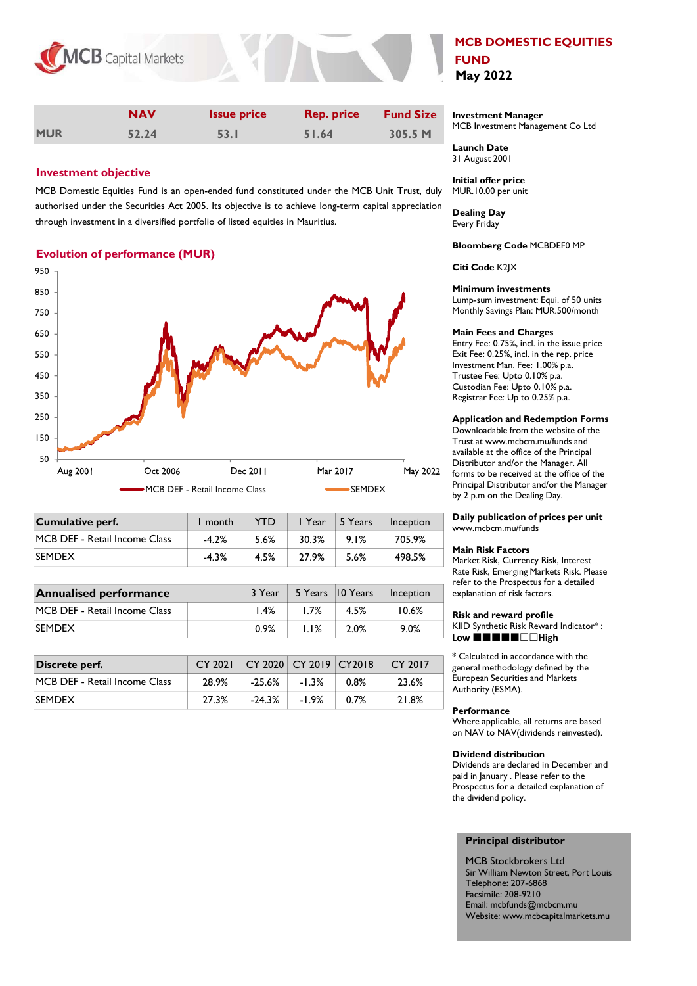

|            | <b>NAV</b> | <b>Issue price</b> | <b>Rep. price</b> | <b>Fund Size</b> |
|------------|------------|--------------------|-------------------|------------------|
| <b>MUR</b> | 52.24      | 53.I               | 51.64             | 305.5 M          |

# Investment objective

MCB Domestic Equities Fund is an open-ended fund constituted under the MCB Unit Trust, duly authorised under the Securities Act 2005. Its objective is to achieve long-term capital appreciation through investment in a diversified portfolio of listed equities in Mauritius.

# Evolution of performance (MUR)



| Cumulative perf.              | month   | <b>YTD</b> | I Year | 5 Years | Inception |
|-------------------------------|---------|------------|--------|---------|-----------|
| MCB DEF - Retail Income Class | $-4.2%$ | 5.6%       | 30.3%  | 9.1%    | 705.9%    |
| <b>SEMDEX</b>                 | $-4.3%$ | 4.5%       | 27.9%  | 5.6%    | 498.5%    |

| <b>Annualised performance</b> |      | 3 Year | 5 Years 10 Years | Inception |
|-------------------------------|------|--------|------------------|-----------|
| MCB DEF - Retail Income Class | 1.4% | 1.7%   | 4.5%             | 10.6%     |
| <b>ISEMDEX</b>                | 0.9% | 1.1%   | 2.0%             | $9.0\%$   |
|                               |      |        |                  |           |

| Discrete perf.                | CY 2021 CY 2020 CY 2019 CY2018 |          |         |         | CY 2017 |
|-------------------------------|--------------------------------|----------|---------|---------|---------|
| MCB DEF - Retail Income Class | 28.9%                          | $-25.6%$ | $-1.3%$ | $0.8\%$ | 23.6%   |
| <b>SEMDEX</b>                 | 27.3%                          | $-24.3%$ | $-1.9%$ | $0.7\%$ | 21.8%   |

# MCB DOMESTIC EQUITIES FUND May 2022

Investment Manager MCB Investment Management Co Ltd

Launch Date 31 August 2001

Initial offer price MUR.10.00 per unit

Dealing Day Every Friday

Bloomberg Code MCBDEF0 MP

Citi Code K2JX

# Minimum investments

Lump-sum investment: Equi. of 50 units Monthly Savings Plan: MUR.500/month

#### Main Fees and Charges

Entry Fee: 0.75%, incl. in the issue price Exit Fee: 0.25%, incl. in the rep. price Investment Man. Fee: 1.00% p.a. Trustee Fee: Upto 0.10% p.a. Custodian Fee: Upto 0.10% p.a. Registrar Fee: Up to 0.25% p.a.

### Application and Redemption Forms

Downloadable from the website of the Trust at www.mcbcm.mu/funds and available at the office of the Principal Distributor and/or the Manager. All forms to be received at the office of the Principal Distributor and/or the Manager by 2 p.m on the Dealing Day.

### Daily publication of prices per unit www.mcbcm.mu/funds

#### Main Risk Factors

Market Risk, Currency Risk, Interest Rate Risk, Emerging Markets Risk. Please refer to the Prospectus for a detailed explanation of risk factors.

#### Risk and reward profile

KIID Synthetic Risk Reward Indicator\* : Low  $\blacksquare \blacksquare \blacksquare \blacksquare \blacksquare \square \square$ High

\* Calculated in accordance with the general methodology defined by the European Securities and Markets Authority (ESMA).

### **Performance**

Where applicable, all returns are based on NAV to NAV(dividends reinvested).

#### Dividend distribution

Dividends are declared in December and paid in January . Please refer to the Prospectus for a detailed explanation of the dividend policy.

## Principal distributor

MCB Stockbrokers Ltd Sir William Newton Street, Port Louis Telephone: 207-6868 Facsimile: 208-9210 Email: mcbfunds@mcbcm.mu Website: www.mcbcapitalmarkets.mu